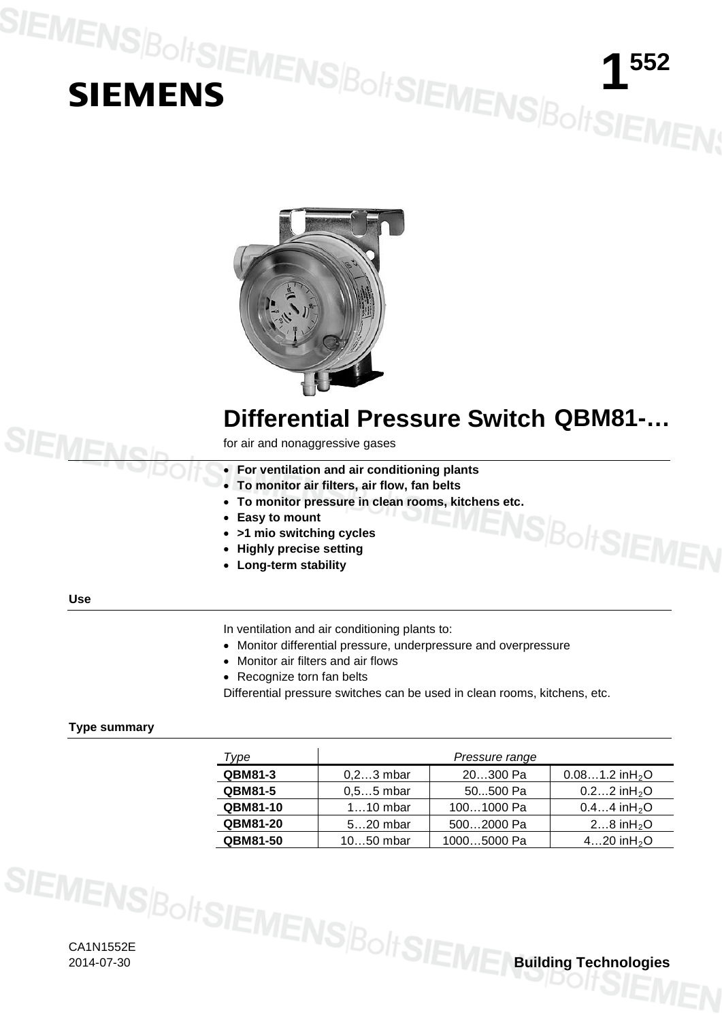# SIEMENS|BoltSIEMENS|BoltSIEMENS|BoltSIEMEN;



## **Differential Pressure Switch QBM81-…**

SBoltSIEMEI

for air and nonaggressive gases

- **For ventilation and air conditioning plants**
- **To monitor air filters, air flow, fan belts**
- **To monitor pressure in clean rooms, kitchens etc.**
- **Easy to mount**
- **>1 mio switching cycles**
- **Highly precise setting**
- **Long-term stability**

## **Use**

SIEMEN

In ventilation and air conditioning plants to:

- Monitor differential pressure, underpressure and overpressure
- Monitor air filters and air flows
- Recognize torn fan belts

Differential pressure switches can be used in clean rooms, kitchens, etc.

## **Type summary**

| Type            | Pressure range |             |                               |
|-----------------|----------------|-------------|-------------------------------|
| <b>QBM81-3</b>  | $0, 23$ mbar   | 20300 Pa    | $0.081.2$ in H <sub>2</sub> O |
| <b>QBM81-5</b>  | $0.55$ mbar    | 50500 Pa    | $0.22$ in H <sub>2</sub> O    |
| <b>QBM81-10</b> | $110$ mbar     | 1001000 Pa  | $0.44$ in H <sub>2</sub> O    |
| <b>QBM81-20</b> | $520$ mbar     | 5002000 Pa  | 28 in $H_2O$                  |
| QBM81-50        | $1050$ mbar    | 10005000 Pa | 420 in $H_2O$                 |

CA1N1552E 2014-07-30 **Building Technologies**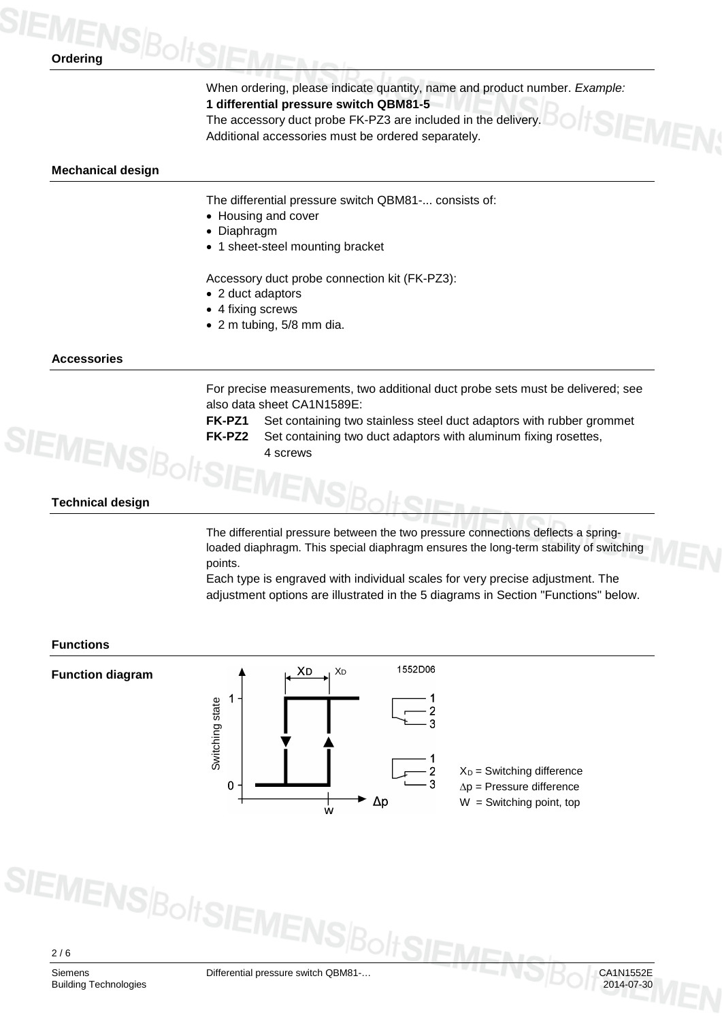## **Ordering**

When ordering, please indicate quantity, name and product number. *Example:* **1 differential pressure switch QBM81-5**

The accessory duct probe FK-PZ3 are included in the delivery. Additional accessories must be ordered separately.

## **Mechanical design**

The differential pressure switch QBM81-... consists of:

- Housing and cover
- Diaphragm
- 1 sheet-steel mounting bracket

Accessory duct probe connection kit (FK-PZ3):

- 2 duct adaptors
- 4 fixing screws
- 2 m tubing, 5/8 mm dia.

## **Accessories**

For precise measurements, two additional duct probe sets must be delivered; see also data sheet CA1N1589E:

**FK-PZ1** Set containing two stainless steel duct adaptors with rubber grommet **FK-PZ2** Set containing two duct adaptors with aluminum fixing rosettes,

4 screws

## **Technical design**

The differential pressure between the two pressure connections deflects a springloaded diaphragm. This special diaphragm ensures the long-term stability of switching points.

Each type is engraved with individual scales for very precise adjustment. The adjustment options are illustrated in the 5 diagrams in Section "Functions" below.

## **Functions**





**SIEMENS**BoltSIE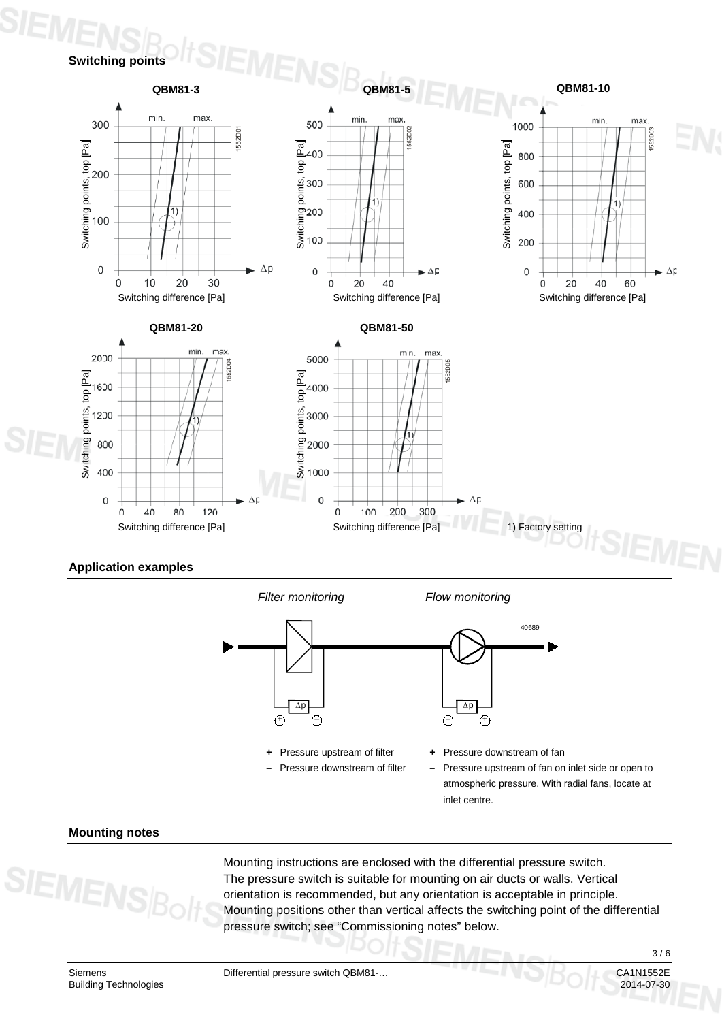## **Switching points**



## **Application examples**

*Filter monitoring Flow monitoring*



**+** Pressure upstream of filter **–** Pressure downstream of filter Pressure downstream of fan

**–** Pressure upstream of fan on inlet side or open to atmospheric pressure. With radial fans, locate at inlet centre.

## **Mounting notes**

Mounting instructions are enclosed with the differential pressure switch. The pressure switch is suitable for mounting on air ducts or walls. Vertical orientation is recommended, but any orientation is acceptable in principle. Mounting positions other than vertical affects the switching point of the differential pressure switch; see "Commissioning notes" below.

3 / 6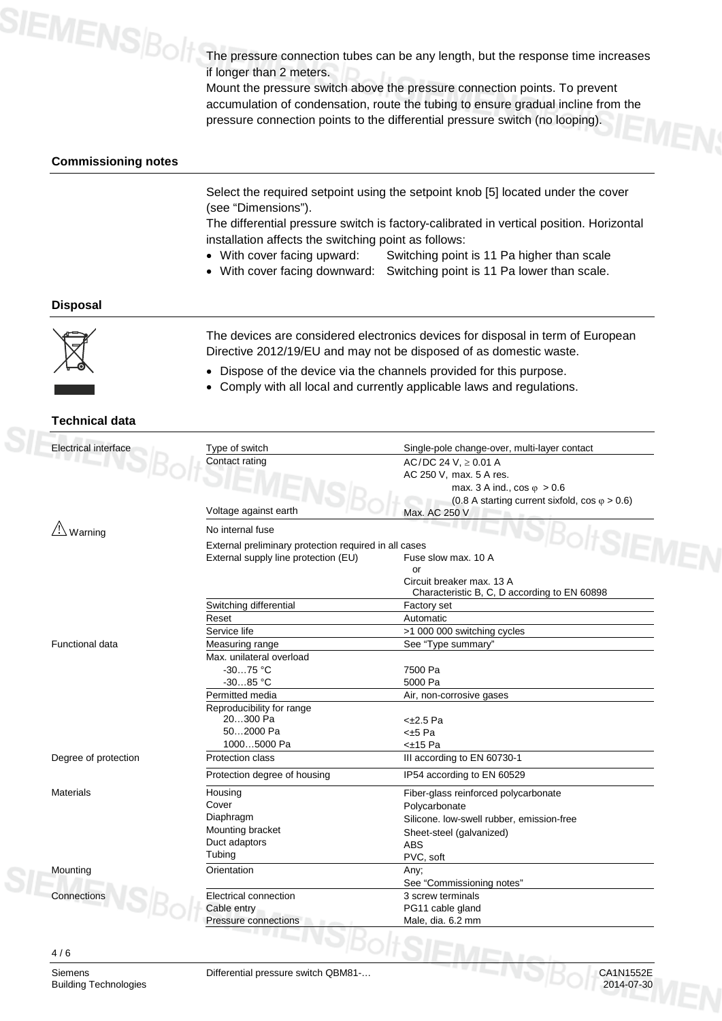

The pressure connection tubes can be any length, but the response time increases if longer than 2 meters.

Mount the pressure switch above the pressure connection points. To prevent accumulation of condensation, route the tubing to ensure gradual incline from the pressure connection points to the differential pressure switch (no looping).

## **Commissioning notes**

Select the required setpoint using the setpoint knob [5] located under the cover (see "Dimensions").

The differential pressure switch is factory-calibrated in vertical position. Horizontal installation affects the switching point as follows:

- With cover facing upward: Switching point is 11 Pa higher than scale
- With cover facing downward: Switching point is 11 Pa lower than scale.

## **Disposal**



The devices are considered electronics devices for disposal in term of European Directive 2012/19/EU and may not be disposed of as domestic waste.

- Dispose of the device via the channels provided for this purpose.
- Comply with all local and currently applicable laws and regulations.

## **Technical data**

| <b>Electrical interface</b> | Type of switch                       | Single-pole change-over, multi-layer contact          |  |
|-----------------------------|--------------------------------------|-------------------------------------------------------|--|
|                             | Contact rating                       | AC/DC 24 V, $\geq$ 0.01 A                             |  |
|                             |                                      | AC 250 V, max. 5 A res.                               |  |
|                             |                                      | max. 3 A ind., $\cos \varphi > 0.6$                   |  |
|                             |                                      | (0.8 A starting current sixfold, cos $\varphi$ > 0.6) |  |
|                             | Voltage against earth                | Max. AC 250 V                                         |  |
| $\angle \Delta$ Warning     | No internal fuse                     |                                                       |  |
|                             |                                      | External preliminary protection required in all cases |  |
|                             | External supply line protection (EU) | Fuse slow max, 10 A                                   |  |
|                             |                                      | or                                                    |  |
|                             |                                      | Circuit breaker max. 13 A                             |  |
|                             |                                      | Characteristic B, C, D according to EN 60898          |  |
|                             | Switching differential               | Factory set                                           |  |
|                             | Reset                                | Automatic                                             |  |
|                             | Service life                         | >1 000 000 switching cycles                           |  |
| <b>Functional data</b>      | Measuring range                      | See "Type summary"                                    |  |
|                             | Max. unilateral overload             |                                                       |  |
|                             | $-3075 °C$                           | 7500 Pa                                               |  |
|                             | $-3085 °C$                           | 5000 Pa                                               |  |
|                             | Permitted media                      | Air, non-corrosive gases                              |  |
|                             | Reproducibility for range            |                                                       |  |
|                             | 20300 Pa                             | $<\pm2.5$ Pa                                          |  |
|                             | 502000 Pa                            | <±5 Pa                                                |  |
|                             | 10005000 Pa                          | $<\pm 15$ Pa                                          |  |
| Degree of protection        | Protection class                     | III according to EN 60730-1                           |  |
|                             | Protection degree of housing         | IP54 according to EN 60529                            |  |
| Materials                   | Housing                              | Fiber-glass reinforced polycarbonate                  |  |
|                             | Cover                                | Polycarbonate                                         |  |
|                             | Diaphragm                            | Silicone. low-swell rubber, emission-free             |  |
|                             | Mounting bracket                     | Sheet-steel (galvanized)                              |  |
|                             | Duct adaptors                        | <b>ABS</b>                                            |  |
|                             | Tubing                               | PVC, soft                                             |  |
| Mounting                    | Orientation                          | Any;                                                  |  |
|                             |                                      | See "Commissioning notes"                             |  |
| Connections                 | Electrical connection                | 3 screw terminals                                     |  |
|                             | Cable entry                          | PG11 cable gland                                      |  |
|                             | Pressure connections                 | Male, dia. 6.2 mm                                     |  |



Siemens Differential pressure switch QBM81-...<br>Building Technologies Differential pressure switch QBM81-... **Building Technologies**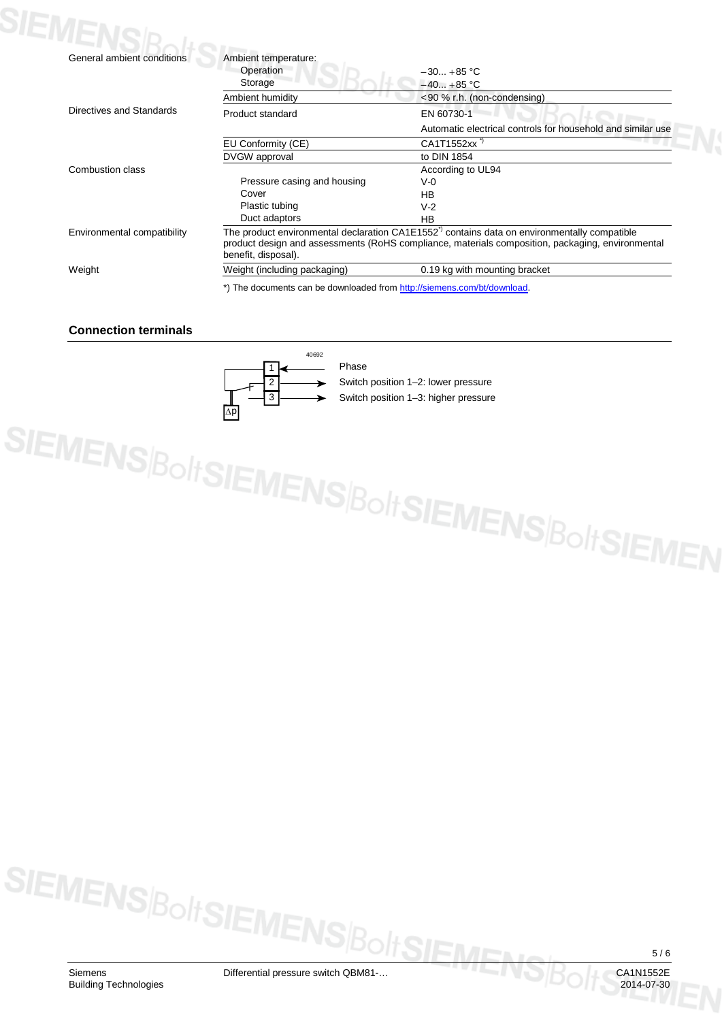| General ambient conditions  | Ambient temperature:                                                                                                                                                                                                               |                                                             |
|-----------------------------|------------------------------------------------------------------------------------------------------------------------------------------------------------------------------------------------------------------------------------|-------------------------------------------------------------|
|                             | Operation                                                                                                                                                                                                                          | $-30+85 °C$                                                 |
|                             | Storage                                                                                                                                                                                                                            | $-40+85$ °C                                                 |
|                             | Ambient humidity                                                                                                                                                                                                                   | <90 % r.h. (non-condensing)                                 |
| Directives and Standards    | Product standard                                                                                                                                                                                                                   | EN 60730-1                                                  |
|                             |                                                                                                                                                                                                                                    | Automatic electrical controls for household and similar use |
|                             | EU Conformity (CE)                                                                                                                                                                                                                 | CA1T1552xx                                                  |
|                             | DVGW approval                                                                                                                                                                                                                      | to DIN 1854                                                 |
| Combustion class            |                                                                                                                                                                                                                                    | According to UL94                                           |
|                             | Pressure casing and housing                                                                                                                                                                                                        | $V-0$                                                       |
|                             | Cover                                                                                                                                                                                                                              | <b>HB</b>                                                   |
|                             | Plastic tubing                                                                                                                                                                                                                     | $V-2$                                                       |
|                             | Duct adaptors                                                                                                                                                                                                                      | HB                                                          |
| Environmental compatibility | The product environmental declaration CA1E1552 <sup>7</sup> contains data on environmentally compatible<br>product design and assessments (RoHS compliance, materials composition, packaging, environmental<br>benefit, disposal). |                                                             |
| Weight                      | Weight (including packaging)                                                                                                                                                                                                       | 0.19 kg with mounting bracket                               |

## **Connection terminals**